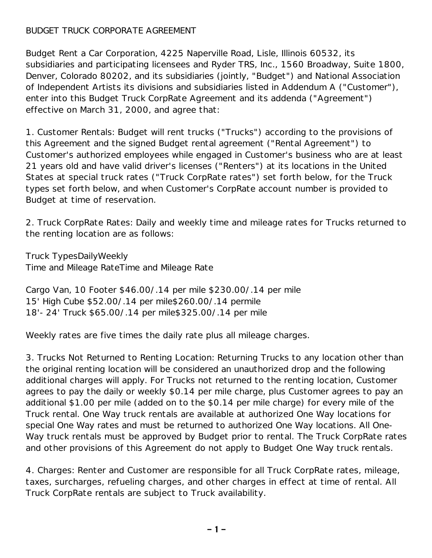## BUDGET TRUCK CORPORATE AGREEMENT

Budget Rent a Car Corporation, 4225 Naperville Road, Lisle, Illinois 60532, its subsidiaries and participating licensees and Ryder TRS, Inc., 1560 Broadway, Suite 1800, Denver, Colorado 80202, and its subsidiaries (jointly, "Budget") and National Association of Independent Artists its divisions and subsidiaries listed in Addendum A ("Customer"), enter into this Budget Truck CorpRate Agreement and its addenda ("Agreement") effective on March 31, 2000, and agree that:

1. Customer Rentals: Budget will rent trucks ("Trucks") according to the provisions of this Agreement and the signed Budget rental agreement ("Rental Agreement") to Customer's authorized employees while engaged in Customer's business who are at least 21 years old and have valid driver's licenses ("Renters") at its locations in the United States at special truck rates ("Truck CorpRate rates") set forth below, for the Truck types set forth below, and when Customer's CorpRate account number is provided to Budget at time of reservation.

2. Truck CorpRate Rates: Daily and weekly time and mileage rates for Trucks returned to the renting location are as follows:

Truck TypesDailyWeekly Time and Mileage RateTime and Mileage Rate

Cargo Van, 10 Footer \$46.00/.14 per mile \$230.00/.14 per mile 15' High Cube \$52.00/.14 per mile\$260.00/.14 permile 18'- 24' Truck \$65.00/.14 per mile\$325.00/.14 per mile

Weekly rates are five times the daily rate plus all mileage charges.

3. Trucks Not Returned to Renting Location: Returning Trucks to any location other than the original renting location will be considered an unauthorized drop and the following additional charges will apply. For Trucks not returned to the renting location, Customer agrees to pay the daily or weekly \$0.14 per mile charge, plus Customer agrees to pay an additional \$1.00 per mile (added on to the \$0.14 per mile charge) for every mile of the Truck rental. One Way truck rentals are available at authorized One Way locations for special One Way rates and must be returned to authorized One Way locations. All One-Way truck rentals must be approved by Budget prior to rental. The Truck CorpRate rates and other provisions of this Agreement do not apply to Budget One Way truck rentals.

4. Charges: Renter and Customer are responsible for all Truck CorpRate rates, mileage, taxes, surcharges, refueling charges, and other charges in effect at time of rental. All Truck CorpRate rentals are subject to Truck availability.